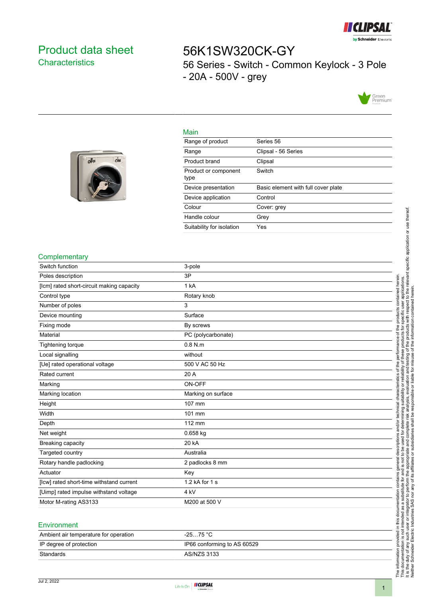

## <span id="page-0-0"></span>Product data sheet **Characteristics**

off

ON

# 56K1SW320CK-GY 56 Series - Switch - Common Keylock - 3 Pole - 20A - 500V - grey



#### Main

| Range of product             | Series 56                           |
|------------------------------|-------------------------------------|
| Range                        | Clipsal - 56 Series                 |
| Product brand                | Clipsal                             |
| Product or component<br>type | Switch                              |
| Device presentation          | Basic element with full cover plate |
| Device application           | Control                             |
| Colour                       | Cover: grey                         |
| Handle colour                | Grey                                |
| Suitability for isolation    | Yes                                 |

#### **Complementary**

| Switch function                           | 3-pole             |
|-------------------------------------------|--------------------|
| Poles description                         | 3P                 |
| [lcm] rated short-circuit making capacity | 1 kA               |
| Control type                              | Rotary knob        |
| Number of poles                           | 3                  |
| Device mounting                           | Surface            |
| Fixing mode                               | By screws          |
| Material                                  | PC (polycarbonate) |
| Tightening torque                         | $0.8$ N.m.         |
| Local signalling                          | without            |
| [Ue] rated operational voltage            | 500 V AC 50 Hz     |
| Rated current                             | 20 A               |
| Marking                                   | ON-OFF             |
| Marking location                          | Marking on surface |
| Height                                    | 107 mm             |
| Width                                     | 101 mm             |
| Depth                                     | 112 mm             |
| Net weight                                | 0.658 kg           |
| Breaking capacity                         | 20 kA              |
| Targeted country                          | Australia          |
| Rotary handle padlocking                  | 2 padlocks 8 mm    |
| Actuator                                  | Key                |
| [lcw] rated short-time withstand current  | 1.2 kA for 1 s     |
| [Uimp] rated impulse withstand voltage    | 4 kV               |
| Motor M-rating AS3133                     | M200 at 500 V      |
|                                           |                    |

#### **Environment**

| Ambient air temperature for operation | -25…75 °C                   |
|---------------------------------------|-----------------------------|
| IP degree of protection               | IP66 conforming to AS 60529 |
| Standards                             | AS/NZS 3133                 |